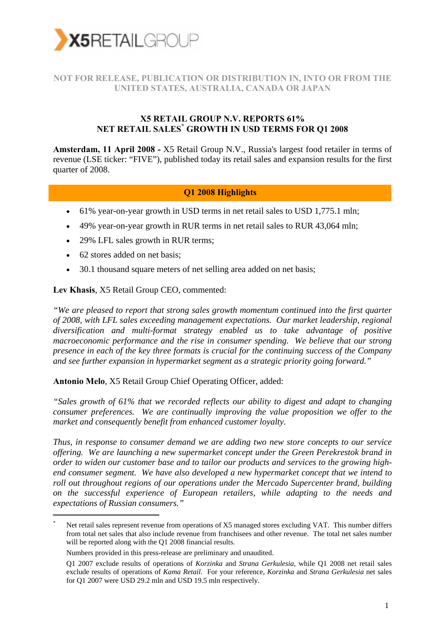

### **NOT FOR RELEASE, PUBLICATION OR DISTRIBUTION IN, INTO OR FROM THE UNITED STATES, AUSTRALIA, CANADA OR JAPAN**

#### **X5 RETAIL GROUP N.V. REPORTS 61% NET RETAIL SALES\* GROWTH IN USD TERMS FOR Q1 2008**

**Amsterdam, 11 April 2008 -** X5 Retail Group N.V., Russia's largest food retailer in terms of revenue (LSE ticker: "FIVE"), published today its retail sales and expansion results for the first quarter of 2008.

#### **Q1 2008 Highlights**

- 61% year-on-year growth in USD terms in net retail sales to USD 1,775.1 mln;
- 49% year-on-year growth in RUR terms in net retail sales to RUR 43,064 mln;
- 29% LFL sales growth in RUR terms:
- 62 stores added on net basis:

-

• 30.1 thousand square meters of net selling area added on net basis;

**Lev Khasis**, X5 Retail Group CEO, commented:

*"We are pleased to report that strong sales growth momentum continued into the first quarter of 2008, with LFL sales exceeding management expectations. Our market leadership, regional diversification and multi-format strategy enabled us to take advantage of positive macroeconomic performance and the rise in consumer spending. We believe that our strong presence in each of the key three formats is crucial for the continuing success of the Company and see further expansion in hypermarket segment as a strategic priority going forward."* 

**Antonio Melo**, X5 Retail Group Chief Operating Officer, added:

*"Sales growth of 61% that we recorded reflects our ability to digest and adapt to changing consumer preferences. We are continually improving the value proposition we offer to the market and consequently benefit from enhanced customer loyalty.* 

*Thus, in response to consumer demand we are adding two new store concepts to our service offering. We are launching a new supermarket concept under the Green Perekrestok brand in order to widen our customer base and to tailor our products and services to the growing highend consumer segment. We have also developed a new hypermarket concept that we intend to roll out throughout regions of our operations under the Mercado Supercenter brand, building on the successful experience of European retailers, while adapting to the needs and expectations of Russian consumers."* 

<sup>\*</sup> Net retail sales represent revenue from operations of X5 managed stores excluding VAT. This number differs from total net sales that also include revenue from franchisees and other revenue. The total net sales number will be reported along with the Q1 2008 financial results.

Numbers provided in this press-release are preliminary and unaudited.

Q1 2007 exclude results of operations of *Korzinka* and *Strana Gerkulesia*, while Q1 2008 net retail sales exclude results of operations of *Kama Retail*. For your reference, *Korzinka* and *Strana Gerkulesia* net sales for Q1 2007 were USD 29.2 mln and USD 19.5 mln respectively.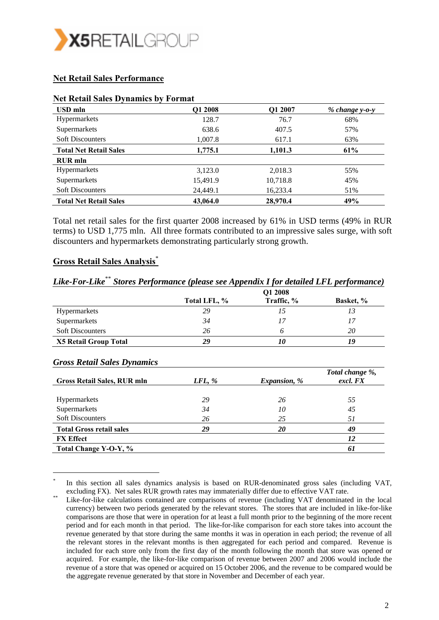

#### **Net Retail Sales Performance**

| USD mln                       | Q1 2008  | Q1 2007  | $% change y-o-y$ |
|-------------------------------|----------|----------|------------------|
| Hypermarkets                  | 128.7    | 76.7     | 68%              |
| Supermarkets                  | 638.6    | 407.5    | 57%              |
| <b>Soft Discounters</b>       | 1,007.8  | 617.1    | 63%              |
| <b>Total Net Retail Sales</b> | 1,775.1  | 1,101.3  | 61%              |
| <b>RUR</b> mln                |          |          |                  |
| <b>Hypermarkets</b>           | 3,123.0  | 2,018.3  | 55%              |
| Supermarkets                  | 15,491.9 | 10,718.8 | 45%              |
| <b>Soft Discounters</b>       | 24,449.1 | 16,233.4 | 51%              |
| <b>Total Net Retail Sales</b> | 43,064.0 | 28,970.4 | 49%              |

#### **Net Retail Sales Dynamics by Format**

Total net retail sales for the first quarter 2008 increased by 61% in USD terms (49% in RUR terms) to USD 1,775 mln. All three formats contributed to an impressive sales surge, with soft discounters and hypermarkets demonstrating particularly strong growth.

#### **Gross Retail Sales Analysis**\*

#### *Like-For-Like*\*\* *Stores Performance (please see Appendix I for detailed LFL performance)*   **Q1 2008 Total LFL, % Traffic, % Basket, %**  Hypermarkets *29 15 13*  Supermarkets **34** 17 17 Soft Discounters 26 6 20 **X5 Retail Group Total** *29 10 19*

-

| <b>Gross Retail Sales Dynamics</b> |           |                     |                             |  |
|------------------------------------|-----------|---------------------|-----------------------------|--|
| Gross Retail Sales, RUR mln        | $LFL, \%$ | <i>Expansion, %</i> | Total change %,<br>excl. FX |  |
| <b>Hypermarkets</b>                | 29        | 26                  | 55                          |  |
| Supermarkets                       | 34        | 10                  | 45                          |  |
| <b>Soft Discounters</b>            | 26        | 25                  | 51                          |  |
| <b>Total Gross retail sales</b>    | 29        | 20                  | 49                          |  |
| <b>FX</b> Effect                   |           |                     | 12                          |  |
| Total Change Y-O-Y, %              |           |                     | 61                          |  |

In this section all sales dynamics analysis is based on RUR-denominated gross sales (including VAT,

excluding FX). Net sales RUR growth rates may immaterially differ due to effective VAT rate.<br>Like-for-like calculations contained are comparisons of revenue (including VAT denominated in the local currency) between two periods generated by the relevant stores. The stores that are included in like-for-like comparisons are those that were in operation for at least a full month prior to the beginning of the more recent period and for each month in that period. The like-for-like comparison for each store takes into account the revenue generated by that store during the same months it was in operation in each period; the revenue of all the relevant stores in the relevant months is then aggregated for each period and compared. Revenue is included for each store only from the first day of the month following the month that store was opened or acquired. For example, the like-for-like comparison of revenue between 2007 and 2006 would include the revenue of a store that was opened or acquired on 15 October 2006, and the revenue to be compared would be the aggregate revenue generated by that store in November and December of each year.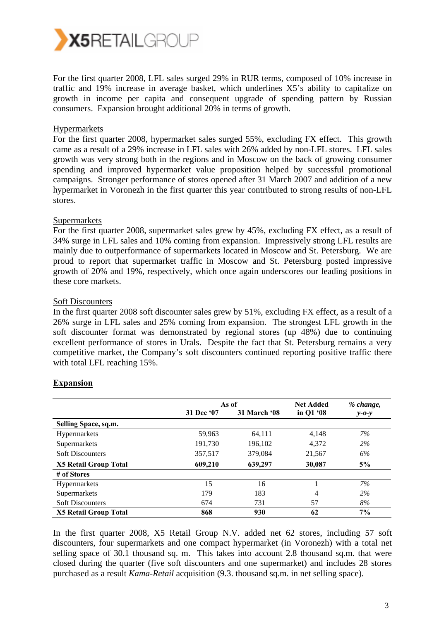

For the first quarter 2008, LFL sales surged 29% in RUR terms, composed of 10% increase in traffic and 19% increase in average basket, which underlines X5's ability to capitalize on growth in income per capita and consequent upgrade of spending pattern by Russian consumers. Expansion brought additional 20% in terms of growth.

#### Hypermarkets

For the first quarter 2008, hypermarket sales surged 55%, excluding FX effect. This growth came as a result of a 29% increase in LFL sales with 26% added by non-LFL stores. LFL sales growth was very strong both in the regions and in Moscow on the back of growing consumer spending and improved hypermarket value proposition helped by successful promotional campaigns. Stronger performance of stores opened after 31 March 2007 and addition of a new hypermarket in Voronezh in the first quarter this year contributed to strong results of non-LFL stores.

#### Supermarkets

For the first quarter 2008, supermarket sales grew by 45%, excluding FX effect, as a result of 34% surge in LFL sales and 10% coming from expansion. Impressively strong LFL results are mainly due to outperformance of supermarkets located in Moscow and St. Petersburg. We are proud to report that supermarket traffic in Moscow and St. Petersburg posted impressive growth of 20% and 19%, respectively, which once again underscores our leading positions in these core markets.

#### Soft Discounters

In the first quarter 2008 soft discounter sales grew by 51%, excluding FX effect, as a result of a 26% surge in LFL sales and 25% coming from expansion. The strongest LFL growth in the soft discounter format was demonstrated by regional stores (up 48%) due to continuing excellent performance of stores in Urals. Despite the fact that St. Petersburg remains a very competitive market, the Company's soft discounters continued reporting positive traffic there with total LFL reaching 15%.

|                              | As of      |                     | <b>Net Added</b> | % change,   |
|------------------------------|------------|---------------------|------------------|-------------|
|                              | 31 Dec '07 | <b>31 March '08</b> | in Q1 '08        | $y - 0 - y$ |
| Selling Space, sq.m.         |            |                     |                  |             |
| Hypermarkets                 | 59,963     | 64,111              | 4.148            | 7%          |
| Supermarkets                 | 191,730    | 196,102             | 4,372            | 2%          |
| <b>Soft Discounters</b>      | 357,517    | 379,084             | 21,567           | 6%          |
| <b>X5 Retail Group Total</b> | 609,210    | 639,297             | 30,087           | 5%          |
| # of Stores                  |            |                     |                  |             |
| <b>Hypermarkets</b>          | 15         | 16                  |                  | 7%          |
| Supermarkets                 | 179        | 183                 | 4                | $2\%$       |
| <b>Soft Discounters</b>      | 674        | 731                 | 57               | 8%          |
| <b>X5 Retail Group Total</b> | 868        | 930                 | 62               | 7%          |

#### **Expansion**

In the first quarter 2008, X5 Retail Group N.V. added net 62 stores, including 57 soft discounters, four supermarkets and one compact hypermarket (in Voronezh) with a total net selling space of 30.1 thousand sq. m. This takes into account 2.8 thousand sq.m. that were closed during the quarter (five soft discounters and one supermarket) and includes 28 stores purchased as a result *Kama-Retail* acquisition (9.3. thousand sq.m. in net selling space).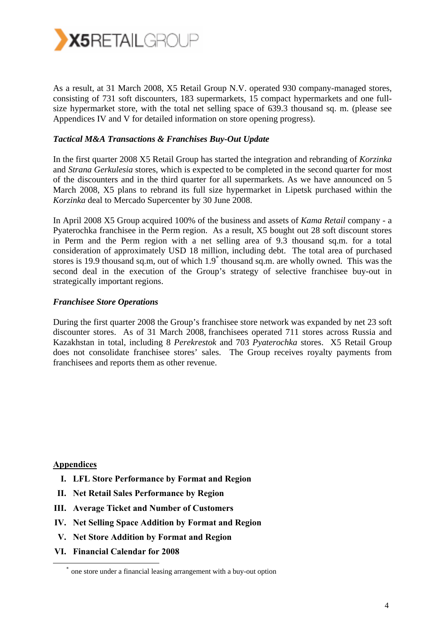

As a result, at 31 March 2008, X5 Retail Group N.V. operated 930 company-managed stores, consisting of 731 soft discounters, 183 supermarkets, 15 compact hypermarkets and one fullsize hypermarket store, with the total net selling space of 639.3 thousand sq. m. (please see Appendices IV and V for detailed information on store opening progress).

#### *Tactical M&A Transactions & Franchises Buy-Out Update*

In the first quarter 2008 X5 Retail Group has started the integration and rebranding of *Korzinka* and *Strana Gerkulesia* stores, which is expected to be completed in the second quarter for most of the discounters and in the third quarter for all supermarkets. As we have announced on 5 March 2008, X5 plans to rebrand its full size hypermarket in Lipetsk purchased within the *Korzinka* deal to Mercado Supercenter by 30 June 2008.

In April 2008 X5 Group acquired 100% of the business and assets of *Kama Retail* company - a Pyaterochka franchisee in the Perm region. As a result, X5 bought out 28 soft discount stores in Perm and the Perm region with a net selling area of 9.3 thousand sq.m. for a total consideration of approximately USD 18 million, including debt. The total area of purchased stores is 19.9 thousand sq.m, out of which 1.9<sup>\*</sup> thousand sq.m. are wholly owned. This was the second deal in the execution of the Group's strategy of selective franchisee buy-out in strategically important regions.

#### *Franchisee Store Operations*

During the first quarter 2008 the Group's franchisee store network was expanded by net 23 soft discounter stores. As of 31 March 2008, franchisees operated 711 stores across Russia and Kazakhstan in total, including 8 *Perekrestok* and 703 *Pyaterochka* stores. X5 Retail Group does not consolidate franchisee stores' sales. The Group receives royalty payments from franchisees and reports them as other revenue.

**Appendices**

- **I. LFL Store Performance by Format and Region**
- **II. Net Retail Sales Performance by Region**
- **III. Average Ticket and Number of Customers**
- **IV. Net Selling Space Addition by Format and Region**
- **V. Net Store Addition by Format and Region**
- **VI. Financial Calendar for 2008**

one store under a financial leasing arrangement with a buy-out option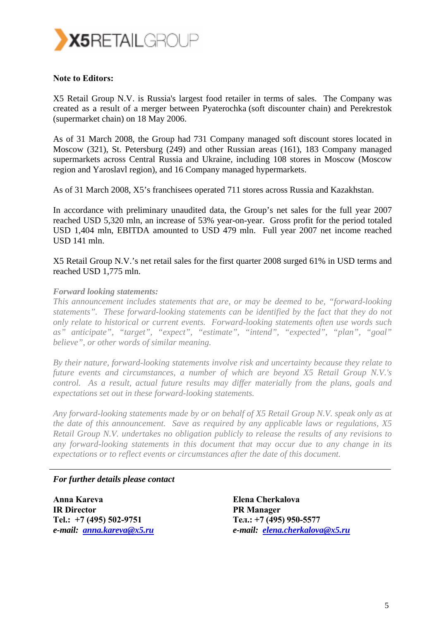

#### **Note to Editors:**

X5 Retail Group N.V. is Russia's largest food retailer in terms of sales. The Company was created as a result of a merger between Pyaterochka (soft discounter chain) and Perekrestok (supermarket chain) on 18 May 2006.

As of 31 March 2008, the Group had 731 Company managed soft discount stores located in Moscow (321), St. Petersburg (249) and other Russian areas (161), 183 Company managed supermarkets across Central Russia and Ukraine, including 108 stores in Moscow (Moscow region and Yaroslavl region), and 16 Company managed hypermarkets.

As of 31 March 2008, X5's franchisees operated 711 stores across Russia and Kazakhstan.

In accordance with preliminary unaudited data, the Group's net sales for the full year 2007 reached USD 5,320 mln, an increase of 53% year-on-year. Gross profit for the period totaled USD 1,404 mln, EBITDA amounted to USD 479 mln. Full year 2007 net income reached USD 141 mln.

X5 Retail Group N.V.'s net retail sales for the first quarter 2008 surged 61% in USD terms and reached USD 1,775 mln.

#### *Forward looking statements:*

*This announcement includes statements that are, or may be deemed to be, "forward-looking statements". These forward-looking statements can be identified by the fact that they do not only relate to historical or current events. Forward-looking statements often use words such as" anticipate", "target", "expect", "estimate", "intend", "expected", "plan", "goal" believe", or other words of similar meaning.* 

*By their nature, forward-looking statements involve risk and uncertainty because they relate to future events and circumstances, a number of which are beyond X5 Retail Group N.V.'s control. As a result, actual future results may differ materially from the plans, goals and expectations set out in these forward-looking statements.* 

*Any forward-looking statements made by or on behalf of X5 Retail Group N.V. speak only as at the date of this announcement. Save as required by any applicable laws or regulations, X5 Retail Group N.V. undertakes no obligation publicly to release the results of any revisions to any forward-looking statements in this document that may occur due to any change in its expectations or to reflect events or circumstances after the date of this document.* 

#### *For further details please contact*

**Anna Kareva IR Director Tel.: +7 (495) 502-9751**  *e-mail: anna.kareva@x5.ru* **Elena Cherkalova PR Manager Тел.: +7 (495) 950-5577**  *e-mail: elena.cherkalova@x5.ru*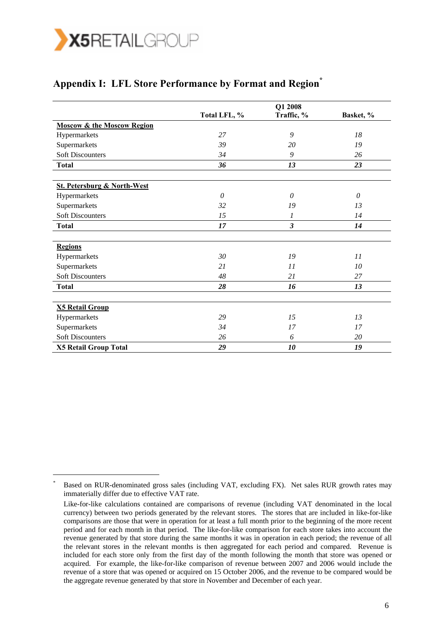

-

### Appendix I: LFL Store Performance by Format and Region<sup>\*</sup>

|                                        | Q1 2008      |                      |           |
|----------------------------------------|--------------|----------------------|-----------|
|                                        | Total LFL, % | Traffic, %           | Basket, % |
| <b>Moscow &amp; the Moscow Region</b>  |              |                      |           |
| Hypermarkets                           | 27           | 9                    | 18        |
| Supermarkets                           | 39           | 20                   | 19        |
| <b>Soft Discounters</b>                | 34           | 9                    | 26        |
| <b>Total</b>                           | 36           | 13                   | 23        |
| <b>St. Petersburg &amp; North-West</b> |              |                      |           |
| Hypermarkets                           | 0            | 0                    | $\theta$  |
| Supermarkets                           | 32           | 19                   | 13        |
| <b>Soft Discounters</b>                | 15           | 1                    | 14        |
| <b>Total</b>                           | 17           | $\boldsymbol{\beta}$ | 14        |
| <b>Regions</b>                         |              |                      |           |
| Hypermarkets                           | 30           | 19                   | 11        |
| Supermarkets                           | 21           | 11                   | 10        |
| <b>Soft Discounters</b>                | 48           | 21                   | 27        |
| <b>Total</b>                           | 28           | 16                   | 13        |
|                                        |              |                      |           |
| <b>X5 Retail Group</b>                 |              |                      |           |
| Hypermarkets                           | 29           | 15                   | 13        |
| Supermarkets                           | 34           | 17                   | 17        |
| <b>Soft Discounters</b>                | 26           | 6                    | 20        |
| <b>X5 Retail Group Total</b>           | 29           | 10                   | 19        |

<sup>\*</sup> Based on RUR-denominated gross sales (including VAT, excluding FX). Net sales RUR growth rates may immaterially differ due to effective VAT rate.

Like-for-like calculations contained are comparisons of revenue (including VAT denominated in the local currency) between two periods generated by the relevant stores. The stores that are included in like-for-like comparisons are those that were in operation for at least a full month prior to the beginning of the more recent period and for each month in that period. The like-for-like comparison for each store takes into account the revenue generated by that store during the same months it was in operation in each period; the revenue of all the relevant stores in the relevant months is then aggregated for each period and compared. Revenue is included for each store only from the first day of the month following the month that store was opened or acquired. For example, the like-for-like comparison of revenue between 2007 and 2006 would include the revenue of a store that was opened or acquired on 15 October 2006, and the revenue to be compared would be the aggregate revenue generated by that store in November and December of each year.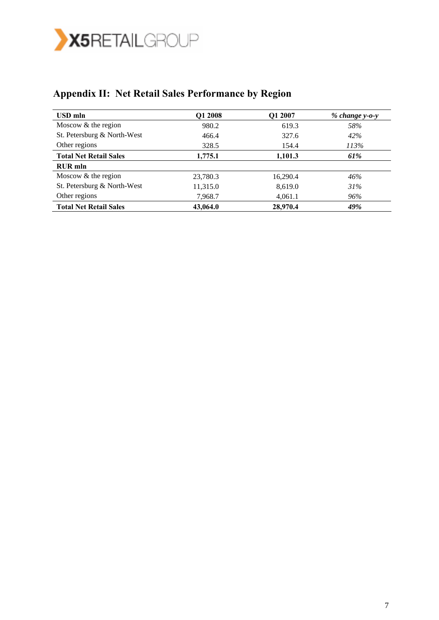

| USD mln                       | Q1 2008  | Q1 2007  | $% change y-o-y$ |
|-------------------------------|----------|----------|------------------|
| Moscow & the region           | 980.2    | 619.3    | 58%              |
| St. Petersburg & North-West   | 466.4    | 327.6    | 42%              |
| Other regions                 | 328.5    | 154.4    | 113%             |
| <b>Total Net Retail Sales</b> | 1,775.1  | 1,101.3  | 61%              |
| <b>RUR</b> mln                |          |          |                  |
| Moscow & the region           | 23,780.3 | 16,290.4 | 46%              |
| St. Petersburg & North-West   | 11,315.0 | 8,619.0  | 31%              |
| Other regions                 | 7,968.7  | 4,061.1  | 96%              |
| <b>Total Net Retail Sales</b> | 43,064.0 | 28,970.4 | 49%              |

# **Appendix II: Net Retail Sales Performance by Region**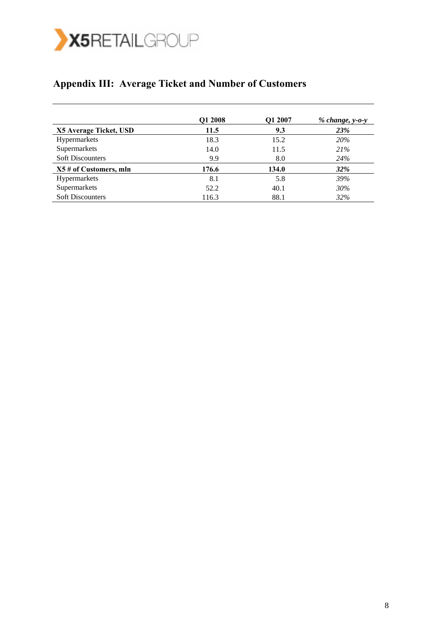

### **Appendix III: Average Ticket and Number of Customers**

|                         | Q1 2008 | Q1 2007 | $% change, y-o-y$ |
|-------------------------|---------|---------|-------------------|
| X5 Average Ticket, USD  | 11.5    | 9.3     | <b>23%</b>        |
| Hypermarkets            | 18.3    | 15.2    | 20%               |
| Supermarkets            | 14.0    | 11.5    | 21%               |
| <b>Soft Discounters</b> | 9.9     | 8.0     | 24%               |
| X5 # of Customers, mln  | 176.6   | 134.0   | <b>32%</b>        |
| Hypermarkets            | 8.1     | 5.8     | 39%               |
| Supermarkets            | 52.2    | 40.1    | 30%               |
| <b>Soft Discounters</b> | 116.3   | 88.1    | 32%               |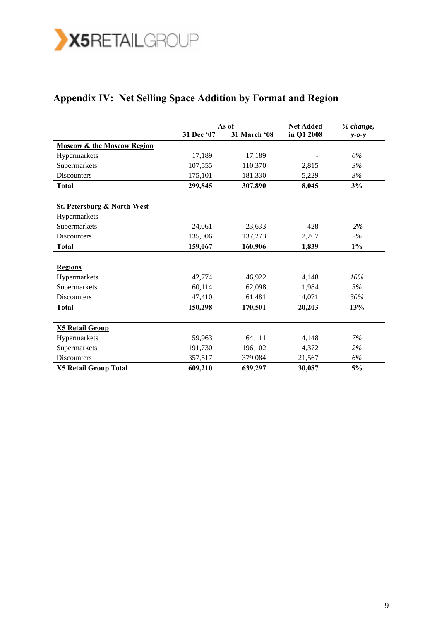

# **Appendix IV: Net Selling Space Addition by Format and Region**

|                                        | As of      |              | <b>Net Added</b> | % change,   |
|----------------------------------------|------------|--------------|------------------|-------------|
|                                        | 31 Dec '07 | 31 March '08 | in Q1 2008       | $y - 0 - y$ |
| <b>Moscow &amp; the Moscow Region</b>  |            |              |                  |             |
| Hypermarkets                           | 17,189     | 17,189       |                  | $0\%$       |
| Supermarkets                           | 107,555    | 110,370      | 2,815            | 3%          |
| Discounters                            | 175,101    | 181,330      | 5,229            | 3%          |
| <b>Total</b>                           | 299,845    | 307,890      | 8,045            | 3%          |
| <b>St. Petersburg &amp; North-West</b> |            |              |                  |             |
| Hypermarkets                           |            |              |                  |             |
| Supermarkets                           | 24,061     | 23,633       | $-428$           | $-2%$       |
| <b>Discounters</b>                     | 135,006    | 137,273      | 2,267            | $2\%$       |
| <b>Total</b>                           | 159,067    | 160,906      | 1,839            | $1\%$       |
| <b>Regions</b>                         |            |              |                  |             |
| Hypermarkets                           | 42,774     | 46,922       | 4,148            | 10%         |
| Supermarkets                           | 60,114     | 62,098       | 1,984            | 3%          |
| <b>Discounters</b>                     | 47,410     | 61,481       | 14,071           | 30%         |
| Total                                  | 150,298    | 170,501      | 20,203           | 13%         |
| <b>X5 Retail Group</b>                 |            |              |                  |             |
| Hypermarkets                           | 59,963     | 64,111       | 4,148            | 7%          |
| Supermarkets                           | 191,730    | 196,102      | 4,372            | 2%          |
| <b>Discounters</b>                     | 357,517    | 379,084      | 21,567           | 6%          |
| <b>X5 Retail Group Total</b>           | 609,210    | 639,297      | 30,087           | 5%          |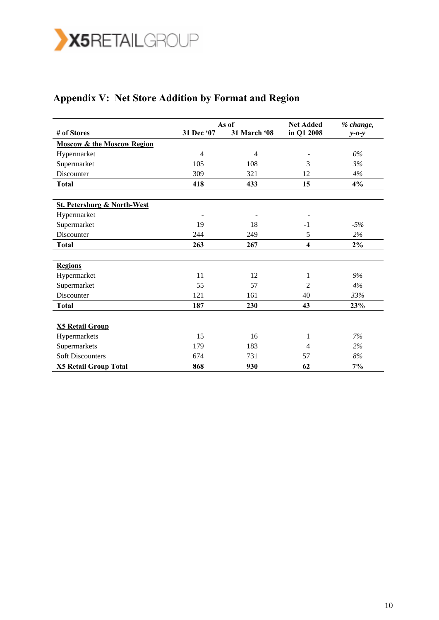

# **Appendix V: Net Store Addition by Format and Region**

|                                        | As of          |              | <b>Net Added</b> | % change,   |
|----------------------------------------|----------------|--------------|------------------|-------------|
| # of Stores                            | 31 Dec '07     | 31 March '08 | in Q1 2008       | $y - 0 - y$ |
| <b>Moscow &amp; the Moscow Region</b>  |                |              |                  |             |
| Hypermarket                            | $\overline{4}$ | 4            |                  | $0\%$       |
| Supermarket                            | 105            | 108          | 3                | 3%          |
| Discounter                             | 309            | 321          | 12               | 4%          |
| <b>Total</b>                           | 418            | 433          | 15               | 4%          |
| <b>St. Petersburg &amp; North-West</b> |                |              |                  |             |
| Hypermarket                            |                |              |                  |             |
| Supermarket                            | 19             | 18           | $-1$             | $-5%$       |
| Discounter                             | 244            | 249          | 5                | 2%          |
| <b>Total</b>                           | 263            | 267          | 4                | $2\%$       |
| <b>Regions</b>                         |                |              |                  |             |
| Hypermarket                            | 11             | 12           | 1                | 9%          |
| Supermarket                            | 55             | 57           | 2                | 4%          |
| Discounter                             | 121            | 161          | 40               | 33%         |
| <b>Total</b>                           | 187            | 230          | 43               | 23%         |
| <b>X5 Retail Group</b>                 |                |              |                  |             |
| Hypermarkets                           | 15             | 16           | 1                | 7%          |
| Supermarkets                           | 179            | 183          | 4                | 2%          |
| <b>Soft Discounters</b>                | 674            | 731          | 57               | 8%          |
| <b>X5 Retail Group Total</b>           | 868            | 930          | 62               | 7%          |